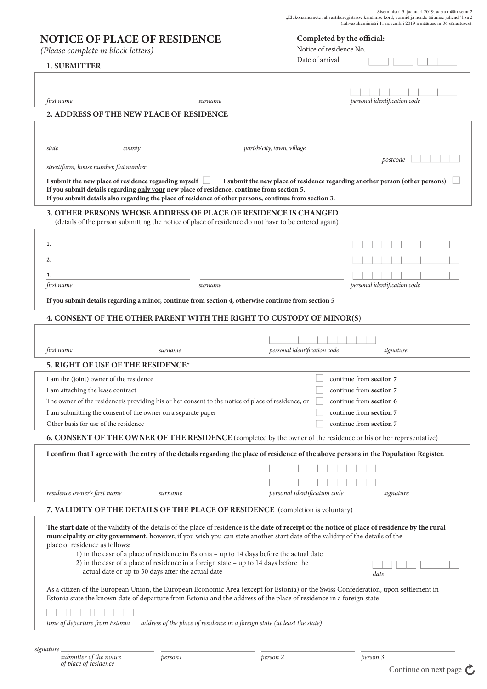*(Please complete in block letters)*

## **1. SUBMITTER**

| Completed by the official: |  |  |
|----------------------------|--|--|
|----------------------------|--|--|

Notice of residence No.

Date of arrival  $111111$ 

| first name                               | surname                                                                                                                                                                                                                                |                                                                                                                                                                                                                                                                                 | personal identification code                       |  |  |  |
|------------------------------------------|----------------------------------------------------------------------------------------------------------------------------------------------------------------------------------------------------------------------------------------|---------------------------------------------------------------------------------------------------------------------------------------------------------------------------------------------------------------------------------------------------------------------------------|----------------------------------------------------|--|--|--|
| 2. ADDRESS OF THE NEW PLACE OF RESIDENCE |                                                                                                                                                                                                                                        |                                                                                                                                                                                                                                                                                 |                                                    |  |  |  |
|                                          |                                                                                                                                                                                                                                        |                                                                                                                                                                                                                                                                                 |                                                    |  |  |  |
|                                          |                                                                                                                                                                                                                                        |                                                                                                                                                                                                                                                                                 |                                                    |  |  |  |
| state                                    | county                                                                                                                                                                                                                                 | parish/city, town, village                                                                                                                                                                                                                                                      |                                                    |  |  |  |
| street/farm, house number, flat number   |                                                                                                                                                                                                                                        |                                                                                                                                                                                                                                                                                 | postcode                                           |  |  |  |
|                                          | I submit the new place of residence regarding myself                                                                                                                                                                                   | I submit the new place of residence regarding another person (other persons)                                                                                                                                                                                                    |                                                    |  |  |  |
|                                          | If you submit details regarding only your new place of residence, continue from section 5.<br>If you submit details also regarding the place of residence of other persons, continue from section 3.                                   |                                                                                                                                                                                                                                                                                 |                                                    |  |  |  |
|                                          |                                                                                                                                                                                                                                        |                                                                                                                                                                                                                                                                                 |                                                    |  |  |  |
|                                          | 3. OTHER PERSONS WHOSE ADDRESS OF PLACE OF RESIDENCE IS CHANGED<br>(details of the person submitting the notice of place of residence do not have to be entered again)                                                                 |                                                                                                                                                                                                                                                                                 |                                                    |  |  |  |
|                                          |                                                                                                                                                                                                                                        |                                                                                                                                                                                                                                                                                 |                                                    |  |  |  |
| 1.                                       |                                                                                                                                                                                                                                        |                                                                                                                                                                                                                                                                                 |                                                    |  |  |  |
| 2.                                       |                                                                                                                                                                                                                                        |                                                                                                                                                                                                                                                                                 |                                                    |  |  |  |
|                                          |                                                                                                                                                                                                                                        |                                                                                                                                                                                                                                                                                 |                                                    |  |  |  |
| 3.<br>first name                         | surname                                                                                                                                                                                                                                |                                                                                                                                                                                                                                                                                 | personal identification code                       |  |  |  |
|                                          |                                                                                                                                                                                                                                        |                                                                                                                                                                                                                                                                                 |                                                    |  |  |  |
|                                          | If you submit details regarding a minor, continue from section 4, otherwise continue from section 5                                                                                                                                    |                                                                                                                                                                                                                                                                                 |                                                    |  |  |  |
|                                          |                                                                                                                                                                                                                                        | 4. CONSENT OF THE OTHER PARENT WITH THE RIGHT TO CUSTODY OF MINOR(S)                                                                                                                                                                                                            |                                                    |  |  |  |
|                                          |                                                                                                                                                                                                                                        |                                                                                                                                                                                                                                                                                 |                                                    |  |  |  |
|                                          |                                                                                                                                                                                                                                        |                                                                                                                                                                                                                                                                                 |                                                    |  |  |  |
| first name                               | surname                                                                                                                                                                                                                                | personal identification code                                                                                                                                                                                                                                                    | signature                                          |  |  |  |
| 5. RIGHT OF USE OF THE RESIDENCE*        |                                                                                                                                                                                                                                        |                                                                                                                                                                                                                                                                                 |                                                    |  |  |  |
| I am the (joint) owner of the residence  |                                                                                                                                                                                                                                        | continue from section 7                                                                                                                                                                                                                                                         |                                                    |  |  |  |
| I am attaching the lease contract        | continue from section 7                                                                                                                                                                                                                |                                                                                                                                                                                                                                                                                 |                                                    |  |  |  |
|                                          | The owner of the residenceis providing his or her consent to the notice of place of residence, or                                                                                                                                      |                                                                                                                                                                                                                                                                                 | continue from section 6                            |  |  |  |
| Other basis for use of the residence     | I am submitting the consent of the owner on a separate paper                                                                                                                                                                           |                                                                                                                                                                                                                                                                                 | continue from section 7<br>continue from section 7 |  |  |  |
|                                          |                                                                                                                                                                                                                                        |                                                                                                                                                                                                                                                                                 |                                                    |  |  |  |
|                                          |                                                                                                                                                                                                                                        | <b>6. CONSENT OF THE OWNER OF THE RESIDENCE</b> (completed by the owner of the residence or his or her representative)                                                                                                                                                          |                                                    |  |  |  |
|                                          |                                                                                                                                                                                                                                        | I confirm that I agree with the entry of the details regarding the place of residence of the above persons in the Population Register.                                                                                                                                          |                                                    |  |  |  |
|                                          |                                                                                                                                                                                                                                        |                                                                                                                                                                                                                                                                                 |                                                    |  |  |  |
|                                          |                                                                                                                                                                                                                                        |                                                                                                                                                                                                                                                                                 |                                                    |  |  |  |
| residence owner's first name             | surname                                                                                                                                                                                                                                | personal identification code                                                                                                                                                                                                                                                    | signature                                          |  |  |  |
|                                          |                                                                                                                                                                                                                                        | 7. VALIDITY OF THE DETAILS OF THE PLACE OF RESIDENCE (completion is voluntary)                                                                                                                                                                                                  |                                                    |  |  |  |
| place of residence as follows:           | 1) in the case of a place of residence in Estonia - up to 14 days before the actual date<br>2) in the case of a place of residence in a foreign state - up to 14 days before the<br>actual date or up to 30 days after the actual date | The start date of the validity of the details of the place of residence is the date of receipt of the notice of place of residence by the rural<br>municipality or city government, however, if you wish you can state another start date of the validity of the details of the | date                                               |  |  |  |
|                                          |                                                                                                                                                                                                                                        | As a citizen of the European Union, the European Economic Area (except for Estonia) or the Swiss Confederation, upon settlement in<br>Estonia state the known date of departure from Estonia and the address of the place of residence in a foreign state                       |                                                    |  |  |  |
|                                          |                                                                                                                                                                                                                                        |                                                                                                                                                                                                                                                                                 |                                                    |  |  |  |
| time of departure from Estonia           |                                                                                                                                                                                                                                        | address of the place of residence in a foreign state (at least the state)                                                                                                                                                                                                       |                                                    |  |  |  |